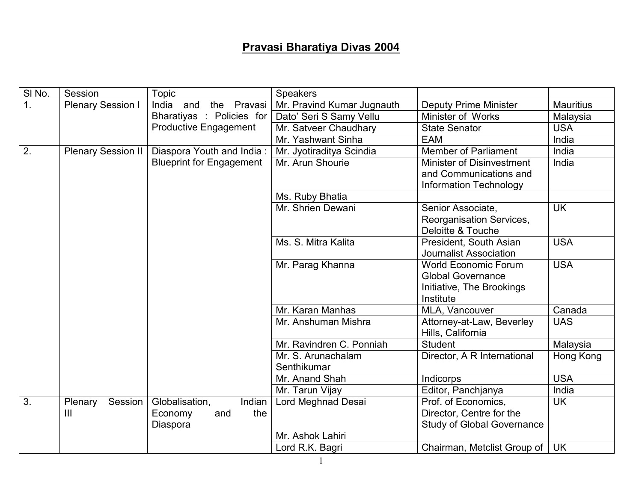## Pravasi Bharatiya Divas 2004

| SI No.           | Session                   | Topic                           | <b>Speakers</b>            |                                                |                  |
|------------------|---------------------------|---------------------------------|----------------------------|------------------------------------------------|------------------|
| $\mathbf{1}$ .   | <b>Plenary Session I</b>  | India and<br>Pravasi<br>the     | Mr. Pravind Kumar Jugnauth | <b>Deputy Prime Minister</b>                   | <b>Mauritius</b> |
|                  |                           | Bharatiyas : Policies for       | Dato' Seri S Samy Vellu    | Minister of Works                              | Malaysia         |
|                  |                           | <b>Productive Engagement</b>    | Mr. Satveer Chaudhary      | <b>State Senator</b>                           | <b>USA</b>       |
|                  |                           |                                 | Mr. Yashwant Sinha         | <b>EAM</b>                                     | India            |
| $\overline{2}$ . | <b>Plenary Session II</b> | Diaspora Youth and India:       | Mr. Jyotiraditya Scindia   | <b>Member of Parliament</b>                    | India            |
|                  |                           | <b>Blueprint for Engagement</b> | Mr. Arun Shourie           | Minister of Disinvestment                      | India            |
|                  |                           |                                 |                            | and Communications and                         |                  |
|                  |                           |                                 |                            | <b>Information Technology</b>                  |                  |
|                  |                           |                                 | Ms. Ruby Bhatia            |                                                |                  |
|                  |                           |                                 | Mr. Shrien Dewani          | Senior Associate,                              | <b>UK</b>        |
|                  |                           |                                 |                            | Reorganisation Services,                       |                  |
|                  |                           |                                 |                            | Deloitte & Touche                              |                  |
|                  |                           |                                 | Ms. S. Mitra Kalita        | President, South Asian                         | <b>USA</b>       |
|                  |                           |                                 |                            | <b>Journalist Association</b>                  |                  |
|                  |                           |                                 | Mr. Parag Khanna           | <b>World Economic Forum</b>                    | <b>USA</b>       |
|                  |                           |                                 |                            | <b>Global Governance</b>                       |                  |
|                  |                           |                                 |                            | Initiative, The Brookings                      |                  |
|                  |                           |                                 | Mr. Karan Manhas           | Institute                                      | Canada           |
|                  |                           |                                 | Mr. Anshuman Mishra        | MLA, Vancouver                                 | <b>UAS</b>       |
|                  |                           |                                 |                            | Attorney-at-Law, Beverley<br>Hills, California |                  |
|                  |                           |                                 | Mr. Ravindren C. Ponniah   | <b>Student</b>                                 | Malaysia         |
|                  |                           |                                 | Mr. S. Arunachalam         | Director, A R International                    | Hong Kong        |
|                  |                           |                                 | Senthikumar                |                                                |                  |
|                  |                           |                                 | Mr. Anand Shah             | Indicorps                                      | <b>USA</b>       |
|                  |                           |                                 | Mr. Tarun Vijay            | Editor, Panchjanya                             | India            |
| 3.               | Plenary<br>Session        | Indian<br>Globalisation,        | Lord Meghnad Desai         | Prof. of Economics,                            | <b>UK</b>        |
|                  | $\mathsf{III}$            | the<br>Economy<br>and           |                            | Director, Centre for the                       |                  |
|                  |                           | Diaspora                        |                            | <b>Study of Global Governance</b>              |                  |
|                  |                           |                                 | Mr. Ashok Lahiri           |                                                |                  |
|                  |                           |                                 | Lord R.K. Bagri            | Chairman, Metclist Group of                    | <b>UK</b>        |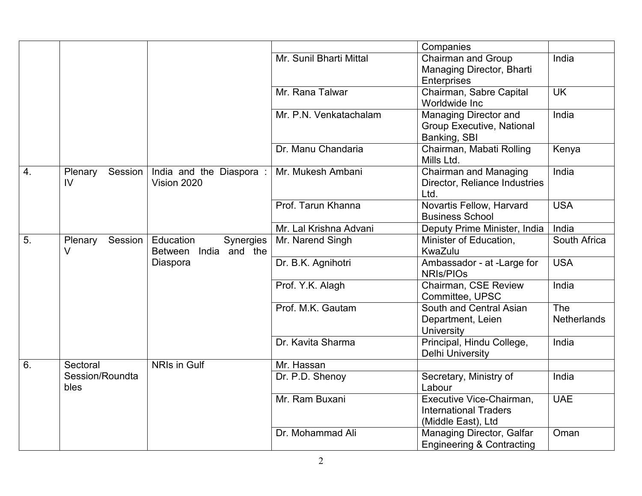|    |                          |                                                    |                         | Companies                                                                      |                           |
|----|--------------------------|----------------------------------------------------|-------------------------|--------------------------------------------------------------------------------|---------------------------|
|    |                          |                                                    | Mr. Sunil Bharti Mittal | <b>Chairman and Group</b><br>Managing Director, Bharti<br>Enterprises          | India                     |
|    |                          |                                                    | Mr. Rana Talwar         | Chairman, Sabre Capital<br>Worldwide Inc                                       | <b>UK</b>                 |
|    |                          |                                                    | Mr. P.N. Venkatachalam  | Managing Director and<br><b>Group Executive, National</b><br>Banking, SBI      | India                     |
|    |                          |                                                    | Dr. Manu Chandaria      | Chairman, Mabati Rolling<br>Mills Ltd.                                         | Kenya                     |
| 4. | Plenary<br>Session<br>IV | India and the Diaspora:<br>Vision 2020             | Mr. Mukesh Ambani       | <b>Chairman and Managing</b><br>Director, Reliance Industries<br>Ltd.          | India                     |
|    |                          |                                                    | Prof. Tarun Khanna      | Novartis Fellow, Harvard<br><b>Business School</b>                             | <b>USA</b>                |
|    |                          |                                                    | Mr. Lal Krishna Advani  | Deputy Prime Minister, India                                                   | India                     |
| 5. | Session<br>Plenary<br>V  | Education<br>Synergies<br>India and the<br>Between | Mr. Narend Singh        | Minister of Education,<br>KwaZulu                                              | South Africa              |
|    |                          | Diaspora                                           | Dr. B.K. Agnihotri      | Ambassador - at -Large for<br><b>NRIS/PIOS</b>                                 | <b>USA</b>                |
|    |                          |                                                    | Prof. Y.K. Alagh        | Chairman, CSE Review<br>Committee, UPSC                                        | India                     |
|    |                          |                                                    | Prof. M.K. Gautam       | South and Central Asian<br>Department, Leien<br><b>University</b>              | The<br><b>Netherlands</b> |
|    |                          |                                                    | Dr. Kavita Sharma       | Principal, Hindu College,<br><b>Delhi University</b>                           | India                     |
| 6. | Sectoral                 | NRIs in Gulf                                       | Mr. Hassan              |                                                                                |                           |
|    | Session/Roundta<br>bles  |                                                    | Dr. P.D. Shenoy         | Secretary, Ministry of<br>Labour                                               | India                     |
|    |                          |                                                    | Mr. Ram Buxani          | Executive Vice-Chairman,<br><b>International Traders</b><br>(Middle East), Ltd | <b>UAE</b>                |
|    |                          |                                                    | Dr. Mohammad Ali        | Managing Director, Galfar<br><b>Engineering &amp; Contracting</b>              | Oman                      |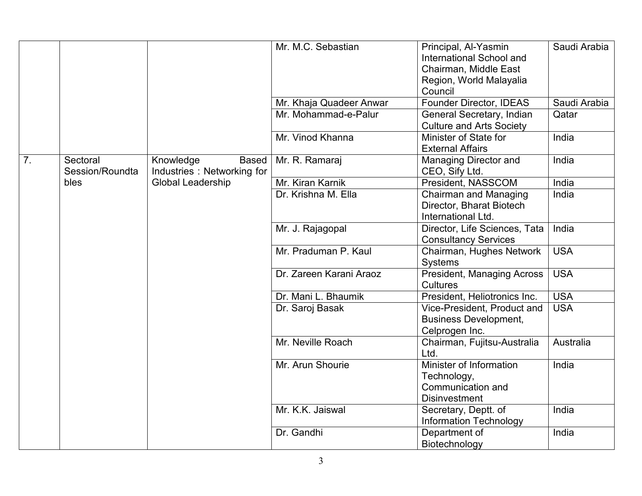|                  |                             |                                                         | Mr. M.C. Sebastian      | Principal, Al-Yasmin                                     | Saudi Arabia |
|------------------|-----------------------------|---------------------------------------------------------|-------------------------|----------------------------------------------------------|--------------|
|                  |                             |                                                         |                         | International School and                                 |              |
|                  |                             |                                                         |                         | Chairman, Middle East                                    |              |
|                  |                             |                                                         |                         | Region, World Malayalia                                  |              |
|                  |                             |                                                         |                         | Council                                                  |              |
|                  |                             |                                                         | Mr. Khaja Quadeer Anwar | Founder Director, IDEAS                                  | Saudi Arabia |
|                  |                             |                                                         | Mr. Mohammad-e-Palur    | General Secretary, Indian                                | Qatar        |
|                  |                             |                                                         |                         | <b>Culture and Arts Society</b>                          |              |
|                  |                             |                                                         | Mr. Vinod Khanna        | Minister of State for                                    | India        |
|                  |                             |                                                         |                         | <b>External Affairs</b>                                  |              |
| $\overline{7}$ . | Sectoral<br>Session/Roundta | Knowledge<br><b>Based</b><br>Industries: Networking for | Mr. R. Ramaraj          | <b>Managing Director and</b><br>CEO, Sify Ltd.           | India        |
|                  | bles                        | Global Leadership                                       | Mr. Kiran Karnik        | President, NASSCOM                                       | India        |
|                  |                             |                                                         | Dr. Krishna M. Ella     | <b>Chairman and Managing</b><br>Director, Bharat Biotech | India        |
|                  |                             |                                                         |                         | International Ltd.                                       |              |
|                  |                             |                                                         | Mr. J. Rajagopal        | Director, Life Sciences, Tata                            | India        |
|                  |                             |                                                         |                         | <b>Consultancy Services</b>                              |              |
|                  |                             |                                                         | Mr. Praduman P. Kaul    | Chairman, Hughes Network<br>Systems                      | <b>USA</b>   |
|                  |                             |                                                         | Dr. Zareen Karani Araoz | <b>President, Managing Across</b><br><b>Cultures</b>     | <b>USA</b>   |
|                  |                             |                                                         | Dr. Mani L. Bhaumik     | President, Heliotronics Inc.                             | <b>USA</b>   |
|                  |                             |                                                         | Dr. Saroj Basak         | Vice-President, Product and                              | <b>USA</b>   |
|                  |                             |                                                         |                         | <b>Business Development,</b>                             |              |
|                  |                             |                                                         |                         | Celprogen Inc.                                           |              |
|                  |                             |                                                         | Mr. Neville Roach       | Chairman, Fujitsu-Australia                              | Australia    |
|                  |                             |                                                         |                         | Ltd.                                                     |              |
|                  |                             |                                                         | Mr. Arun Shourie        | Minister of Information                                  | India        |
|                  |                             |                                                         |                         | Technology,                                              |              |
|                  |                             |                                                         |                         | Communication and                                        |              |
|                  |                             |                                                         |                         | <b>Disinvestment</b>                                     |              |
|                  |                             |                                                         | Mr. K.K. Jaiswal        | Secretary, Deptt. of                                     | India        |
|                  |                             |                                                         |                         | <b>Information Technology</b>                            |              |
|                  |                             |                                                         | Dr. Gandhi              | Department of                                            | India        |
|                  |                             |                                                         |                         | Biotechnology                                            |              |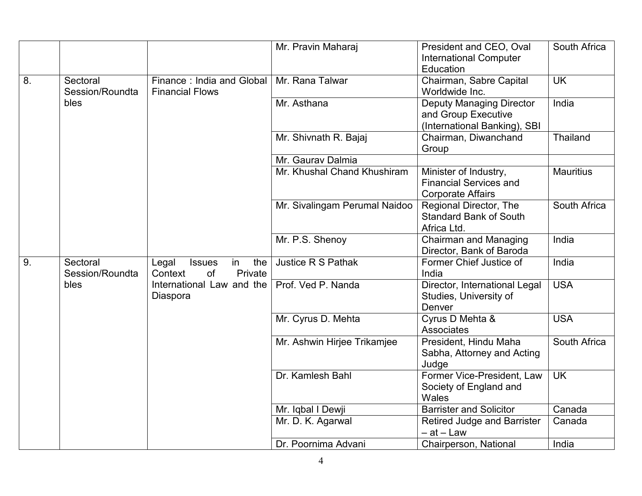|    |                 |                                     | Mr. Pravin Maharaj            | President and CEO, Oval                                | South Africa     |
|----|-----------------|-------------------------------------|-------------------------------|--------------------------------------------------------|------------------|
|    |                 |                                     |                               | <b>International Computer</b><br>Education             |                  |
| 8. | Sectoral        | Finance: India and Global           | Mr. Rana Talwar               | Chairman, Sabre Capital                                | <b>UK</b>        |
|    | Session/Roundta | <b>Financial Flows</b>              |                               | Worldwide Inc.                                         |                  |
|    | bles            |                                     | Mr. Asthana                   | <b>Deputy Managing Director</b>                        | India            |
|    |                 |                                     |                               | and Group Executive                                    |                  |
|    |                 |                                     |                               | (International Banking), SBI                           |                  |
|    |                 |                                     | Mr. Shivnath R. Bajaj         | Chairman, Diwanchand                                   | Thailand         |
|    |                 |                                     |                               | Group                                                  |                  |
|    |                 |                                     | Mr. Gaurav Dalmia             |                                                        |                  |
|    |                 |                                     | Mr. Khushal Chand Khushiram   | Minister of Industry,<br><b>Financial Services and</b> | <b>Mauritius</b> |
|    |                 |                                     |                               | <b>Corporate Affairs</b>                               |                  |
|    |                 |                                     | Mr. Sivalingam Perumal Naidoo | Regional Director, The                                 | South Africa     |
|    |                 |                                     |                               | <b>Standard Bank of South</b>                          |                  |
|    |                 |                                     |                               | Africa Ltd.                                            |                  |
|    |                 |                                     | Mr. P.S. Shenoy               | <b>Chairman and Managing</b>                           | India            |
|    |                 |                                     |                               | Director, Bank of Baroda                               |                  |
| 9. | Sectoral        | the<br>Legal<br><b>Issues</b><br>in | Justice R S Pathak            | Former Chief Justice of                                | India            |
|    | Session/Roundta | of<br>Private<br>Context            |                               | India                                                  |                  |
|    | bles            | International Law and the           | Prof. Ved P. Nanda            | Director, International Legal                          | <b>USA</b>       |
|    |                 | Diaspora                            |                               | Studies, University of                                 |                  |
|    |                 |                                     | Mr. Cyrus D. Mehta            | Denver<br>Cyrus D Mehta &                              | <b>USA</b>       |
|    |                 |                                     |                               | <b>Associates</b>                                      |                  |
|    |                 |                                     | Mr. Ashwin Hirjee Trikamjee   | President, Hindu Maha                                  | South Africa     |
|    |                 |                                     |                               | Sabha, Attorney and Acting                             |                  |
|    |                 |                                     |                               | Judge                                                  |                  |
|    |                 |                                     | Dr. Kamlesh Bahl              | Former Vice-President, Law                             | <b>UK</b>        |
|    |                 |                                     |                               | Society of England and                                 |                  |
|    |                 |                                     |                               | <b>Wales</b>                                           |                  |
|    |                 |                                     | Mr. Iqbal I Dewji             | <b>Barrister and Solicitor</b>                         | Canada           |
|    |                 |                                     | Mr. D. K. Agarwal             | <b>Retired Judge and Barrister</b>                     | Canada           |
|    |                 |                                     |                               | – at – Law                                             |                  |
|    |                 |                                     | Dr. Poornima Advani           | Chairperson, National                                  | India            |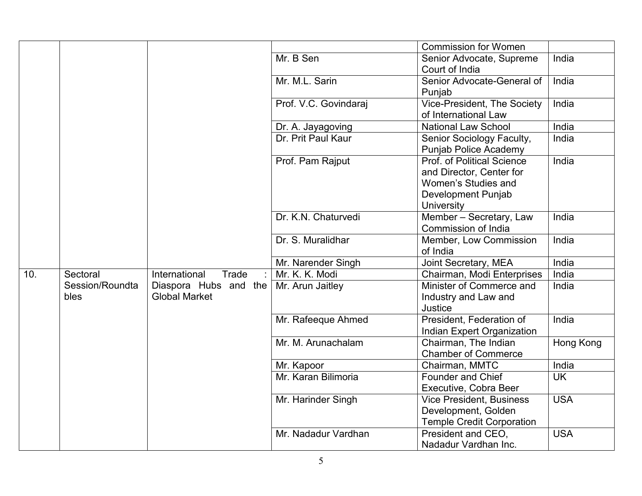|     |                         |                                               |                       | <b>Commission for Women</b>                                                                                       |            |
|-----|-------------------------|-----------------------------------------------|-----------------------|-------------------------------------------------------------------------------------------------------------------|------------|
|     |                         |                                               | Mr. B Sen             | Senior Advocate, Supreme<br>Court of India                                                                        | India      |
|     |                         |                                               | Mr. M.L. Sarin        | Senior Advocate-General of<br>Punjab                                                                              | India      |
|     |                         |                                               | Prof. V.C. Govindaraj | Vice-President, The Society<br>of International Law                                                               | India      |
|     |                         |                                               | Dr. A. Jayagoving     | <b>National Law School</b>                                                                                        | India      |
|     |                         |                                               | Dr. Prit Paul Kaur    | Senior Sociology Faculty,<br><b>Punjab Police Academy</b>                                                         | India      |
|     |                         |                                               | Prof. Pam Rajput      | Prof. of Political Science<br>and Director, Center for<br>Women's Studies and<br>Development Punjab<br>University | India      |
|     |                         |                                               | Dr. K.N. Chaturvedi   | Member - Secretary, Law<br>Commission of India                                                                    | India      |
|     |                         |                                               | Dr. S. Muralidhar     | Member, Low Commission<br>of India                                                                                | India      |
|     |                         |                                               | Mr. Narender Singh    | Joint Secretary, MEA                                                                                              | India      |
| 10. | Sectoral                | Trade<br>International                        | Mr. K. K. Modi        | Chairman, Modi Enterprises                                                                                        | India      |
|     | Session/Roundta<br>bles | Diaspora Hubs and the<br><b>Global Market</b> | Mr. Arun Jaitley      | Minister of Commerce and<br>Industry and Law and<br>Justice                                                       | India      |
|     |                         |                                               | Mr. Rafeeque Ahmed    | President, Federation of<br><b>Indian Expert Organization</b>                                                     | India      |
|     |                         |                                               | Mr. M. Arunachalam    | Chairman, The Indian<br><b>Chamber of Commerce</b>                                                                | Hong Kong  |
|     |                         |                                               | Mr. Kapoor            | Chairman, MMTC                                                                                                    | India      |
|     |                         |                                               | Mr. Karan Bilimoria   | Founder and Chief<br>Executive, Cobra Beer                                                                        | <b>UK</b>  |
|     |                         |                                               | Mr. Harinder Singh    | <b>Vice President, Business</b><br>Development, Golden<br><b>Temple Credit Corporation</b>                        | <b>USA</b> |
|     |                         |                                               | Mr. Nadadur Vardhan   | President and CEO,<br>Nadadur Vardhan Inc.                                                                        | <b>USA</b> |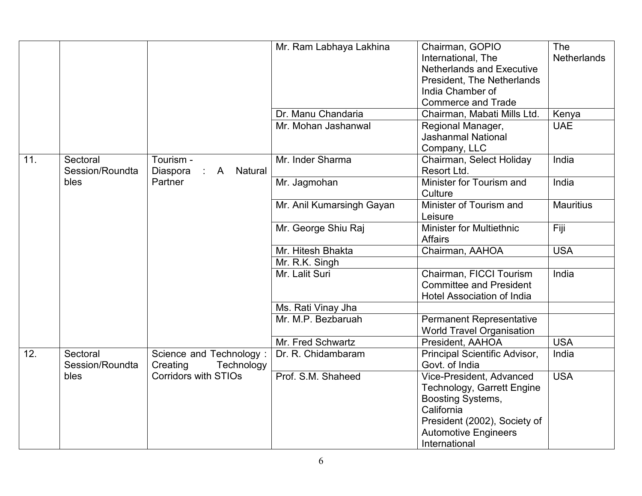|     |                 |                                           | Mr. Ram Labhaya Lakhina   | Chairman, GOPIO                   | <b>The</b>         |
|-----|-----------------|-------------------------------------------|---------------------------|-----------------------------------|--------------------|
|     |                 |                                           |                           | International, The                | <b>Netherlands</b> |
|     |                 |                                           |                           | <b>Netherlands and Executive</b>  |                    |
|     |                 |                                           |                           | President, The Netherlands        |                    |
|     |                 |                                           |                           | India Chamber of                  |                    |
|     |                 |                                           |                           | <b>Commerce and Trade</b>         |                    |
|     |                 |                                           | Dr. Manu Chandaria        | Chairman, Mabati Mills Ltd.       | Kenya              |
|     |                 |                                           | Mr. Mohan Jashanwal       | Regional Manager,                 | <b>UAE</b>         |
|     |                 |                                           |                           | <b>Jashanmal National</b>         |                    |
|     |                 |                                           |                           | Company, LLC                      |                    |
| 11. | Sectoral        | Tourism -                                 | Mr. Inder Sharma          | Chairman, Select Holiday          | India              |
|     | Session/Roundta | Diaspora<br>A<br>Natural<br>$\mathcal{L}$ |                           | Resort Ltd.                       |                    |
|     | bles            | Partner                                   | Mr. Jagmohan              | Minister for Tourism and          | India              |
|     |                 |                                           |                           | Culture                           |                    |
|     |                 |                                           | Mr. Anil Kumarsingh Gayan | Minister of Tourism and           | <b>Mauritius</b>   |
|     |                 |                                           |                           | Leisure                           |                    |
|     |                 |                                           | Mr. George Shiu Raj       | <b>Minister for Multiethnic</b>   | Fiji               |
|     |                 |                                           |                           | <b>Affairs</b>                    |                    |
|     |                 |                                           | Mr. Hitesh Bhakta         | Chairman, AAHOA                   | <b>USA</b>         |
|     |                 |                                           | Mr. R.K. Singh            |                                   |                    |
|     |                 |                                           | Mr. Lalit Suri            |                                   | India              |
|     |                 |                                           |                           | Chairman, FICCI Tourism           |                    |
|     |                 |                                           |                           | <b>Committee and President</b>    |                    |
|     |                 |                                           |                           | <b>Hotel Association of India</b> |                    |
|     |                 |                                           | Ms. Rati Vinay Jha        |                                   |                    |
|     |                 |                                           | Mr. M.P. Bezbaruah        | <b>Permanent Representative</b>   |                    |
|     |                 |                                           |                           | <b>World Travel Organisation</b>  |                    |
|     |                 |                                           | Mr. Fred Schwartz         | President, AAHOA                  | <b>USA</b>         |
| 12. | Sectoral        | Science and Technology:                   | Dr. R. Chidambaram        | Principal Scientific Advisor,     | India              |
|     | Session/Roundta | Creating<br>Technology                    |                           | Govt. of India                    |                    |
|     | bles            | <b>Corridors with STIOs</b>               | Prof. S.M. Shaheed        | Vice-President, Advanced          | <b>USA</b>         |
|     |                 |                                           |                           | Technology, Garrett Engine        |                    |
|     |                 |                                           |                           | Boosting Systems,                 |                    |
|     |                 |                                           |                           | California                        |                    |
|     |                 |                                           |                           | President (2002), Society of      |                    |
|     |                 |                                           |                           | <b>Automotive Engineers</b>       |                    |
|     |                 |                                           |                           | International                     |                    |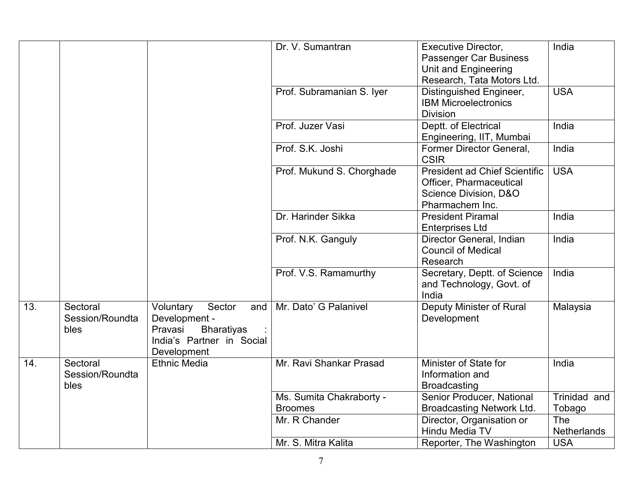|     |                                     |                                                                                                                         | Dr. V. Sumantran          | Executive Director,<br>Passenger Car Business<br>Unit and Engineering                                       | India              |
|-----|-------------------------------------|-------------------------------------------------------------------------------------------------------------------------|---------------------------|-------------------------------------------------------------------------------------------------------------|--------------------|
|     |                                     |                                                                                                                         |                           | Research, Tata Motors Ltd.                                                                                  |                    |
|     |                                     |                                                                                                                         | Prof. Subramanian S. Iyer | Distinguished Engineer,<br><b>IBM Microelectronics</b><br><b>Division</b>                                   | <b>USA</b>         |
|     |                                     |                                                                                                                         | Prof. Juzer Vasi          | Deptt. of Electrical<br>Engineering, IIT, Mumbai                                                            | India              |
|     |                                     |                                                                                                                         | Prof. S.K. Joshi          | Former Director General,<br><b>CSIR</b>                                                                     | India              |
|     |                                     |                                                                                                                         | Prof. Mukund S. Chorghade | <b>President ad Chief Scientific</b><br>Officer, Pharmaceutical<br>Science Division, D&O<br>Pharmachem Inc. | <b>USA</b>         |
|     |                                     |                                                                                                                         | Dr. Harinder Sikka        | <b>President Piramal</b><br><b>Enterprises Ltd</b>                                                          | India              |
|     |                                     |                                                                                                                         | Prof. N.K. Ganguly        | Director General, Indian<br><b>Council of Medical</b><br>Research                                           | India              |
|     |                                     |                                                                                                                         | Prof. V.S. Ramamurthy     | Secretary, Deptt. of Science<br>and Technology, Govt. of<br>India                                           | India              |
| 13. | Sectoral<br>Session/Roundta<br>bles | Voluntary<br>Sector<br>and<br>Development -<br><b>Bharatiyas</b><br>Pravasi<br>India's Partner in Social<br>Development | Mr. Dato' G Palanivel     | Deputy Minister of Rural<br>Development                                                                     | Malaysia           |
| 14. | Sectoral<br>Session/Roundta<br>bles | <b>Ethnic Media</b>                                                                                                     | Mr. Ravi Shankar Prasad   | Minister of State for<br>Information and<br><b>Broadcasting</b>                                             | India              |
|     |                                     |                                                                                                                         | Ms. Sumita Chakraborty -  | Senior Producer, National                                                                                   | Trinidad and       |
|     |                                     |                                                                                                                         | <b>Broomes</b>            | Broadcasting Network Ltd.                                                                                   | Tobago             |
|     |                                     |                                                                                                                         | Mr. R Chander             | Director, Organisation or<br>Hindu Media TV                                                                 | The<br>Netherlands |
|     |                                     |                                                                                                                         | Mr. S. Mitra Kalita       | Reporter, The Washington                                                                                    | <b>USA</b>         |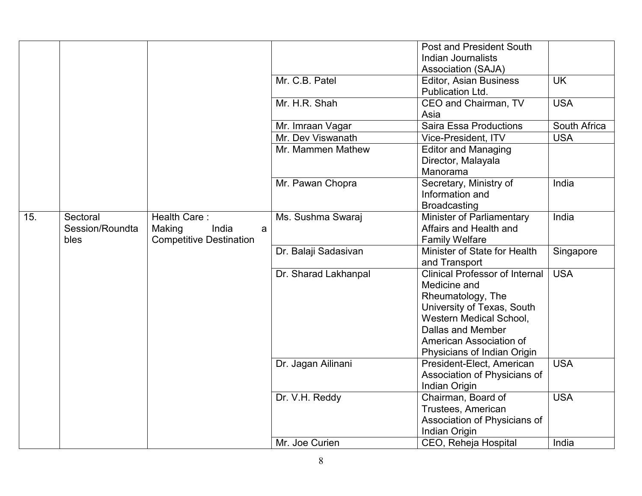|     |                                     |                                                                        |                      | <b>Post and President South</b><br>Indian Journalists<br><b>Association (SAJA)</b>                                                                                                                                        |              |
|-----|-------------------------------------|------------------------------------------------------------------------|----------------------|---------------------------------------------------------------------------------------------------------------------------------------------------------------------------------------------------------------------------|--------------|
|     |                                     |                                                                        | Mr. C.B. Patel       | <b>Editor, Asian Business</b><br>Publication Ltd.                                                                                                                                                                         | <b>UK</b>    |
|     |                                     |                                                                        | Mr. H.R. Shah        | CEO and Chairman, TV<br>Asia                                                                                                                                                                                              | <b>USA</b>   |
|     |                                     |                                                                        | Mr. Imraan Vagar     | <b>Saira Essa Productions</b>                                                                                                                                                                                             | South Africa |
|     |                                     |                                                                        | Mr. Dev Viswanath    | Vice-President, ITV                                                                                                                                                                                                       | <b>USA</b>   |
|     |                                     |                                                                        | Mr. Mammen Mathew    | <b>Editor and Managing</b><br>Director, Malayala<br>Manorama                                                                                                                                                              |              |
|     |                                     |                                                                        | Mr. Pawan Chopra     | Secretary, Ministry of<br>Information and<br><b>Broadcasting</b>                                                                                                                                                          | India        |
| 15. | Sectoral<br>Session/Roundta<br>bles | Health Care:<br>Making<br>India<br>a<br><b>Competitive Destination</b> | Ms. Sushma Swaraj    | Minister of Parliamentary<br>Affairs and Health and<br><b>Family Welfare</b>                                                                                                                                              | India        |
|     |                                     |                                                                        | Dr. Balaji Sadasivan | Minister of State for Health<br>and Transport                                                                                                                                                                             | Singapore    |
|     |                                     |                                                                        | Dr. Sharad Lakhanpal | <b>Clinical Professor of Internal</b><br>Medicine and<br>Rheumatology, The<br>University of Texas, South<br><b>Western Medical School,</b><br>Dallas and Member<br>American Association of<br>Physicians of Indian Origin | <b>USA</b>   |
|     |                                     |                                                                        | Dr. Jagan Ailinani   | President-Elect, American<br>Association of Physicians of<br>Indian Origin                                                                                                                                                | <b>USA</b>   |
|     |                                     |                                                                        | Dr. V.H. Reddy       | Chairman, Board of<br>Trustees, American<br>Association of Physicians of<br>Indian Origin                                                                                                                                 | <b>USA</b>   |
|     |                                     |                                                                        | Mr. Joe Curien       | CEO, Reheja Hospital                                                                                                                                                                                                      | India        |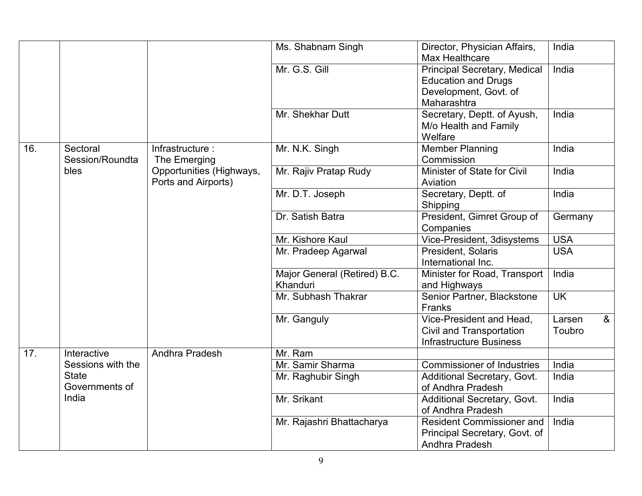|     |                   |                          | Ms. Shabnam Singh            | Director, Physician Affairs,<br>Max Healthcare | India                    |
|-----|-------------------|--------------------------|------------------------------|------------------------------------------------|--------------------------|
|     |                   |                          | Mr. G.S. Gill                | <b>Principal Secretary, Medical</b>            | India                    |
|     |                   |                          |                              | <b>Education and Drugs</b>                     |                          |
|     |                   |                          |                              | Development, Govt. of                          |                          |
|     |                   |                          |                              | Maharashtra                                    |                          |
|     |                   |                          | Mr. Shekhar Dutt             | Secretary, Deptt. of Ayush,                    | India                    |
|     |                   |                          |                              | M/o Health and Family                          |                          |
|     |                   |                          |                              | Welfare                                        |                          |
| 16. | Sectoral          | Infrastructure:          | Mr. N.K. Singh               | <b>Member Planning</b>                         | India                    |
|     | Session/Roundta   | The Emerging             |                              | Commission                                     |                          |
|     | bles              | Opportunities (Highways, | Mr. Rajiv Pratap Rudy        | Minister of State for Civil                    | India                    |
|     |                   | Ports and Airports)      |                              | Aviation                                       |                          |
|     |                   |                          | Mr. D.T. Joseph              | Secretary, Deptt. of                           | India                    |
|     |                   |                          |                              | Shipping                                       |                          |
|     |                   |                          | Dr. Satish Batra             | President, Gimret Group of                     | Germany                  |
|     |                   |                          |                              | Companies                                      |                          |
|     |                   |                          | Mr. Kishore Kaul             | Vice-President, 3disystems                     | <b>USA</b>               |
|     |                   |                          | Mr. Pradeep Agarwal          | President, Solaris                             | <b>USA</b>               |
|     |                   |                          |                              | International Inc.                             |                          |
|     |                   |                          | Major General (Retired) B.C. | Minister for Road, Transport                   | India                    |
|     |                   |                          | Khanduri                     | and Highways                                   |                          |
|     |                   |                          | Mr. Subhash Thakrar          | Senior Partner, Blackstone                     | <b>UK</b>                |
|     |                   |                          |                              | Franks                                         |                          |
|     |                   |                          | Mr. Ganguly                  | Vice-President and Head,                       | 8 <sub>o</sub><br>Larsen |
|     |                   |                          |                              | Civil and Transportation                       | Toubro                   |
|     |                   |                          |                              | <b>Infrastructure Business</b>                 |                          |
| 17. | Interactive       | Andhra Pradesh           | Mr. Ram                      |                                                |                          |
|     | Sessions with the |                          | Mr. Samir Sharma             | <b>Commissioner of Industries</b>              | India                    |
|     | <b>State</b>      |                          | Mr. Raghubir Singh           | Additional Secretary, Govt.                    | India                    |
|     | Governments of    |                          |                              | of Andhra Pradesh                              |                          |
|     | India             |                          | Mr. Srikant                  | Additional Secretary, Govt.                    | India                    |
|     |                   |                          |                              | of Andhra Pradesh                              |                          |
|     |                   |                          | Mr. Rajashri Bhattacharya    | <b>Resident Commissioner and</b>               | India                    |
|     |                   |                          |                              | Principal Secretary, Govt. of                  |                          |
|     |                   |                          |                              | Andhra Pradesh                                 |                          |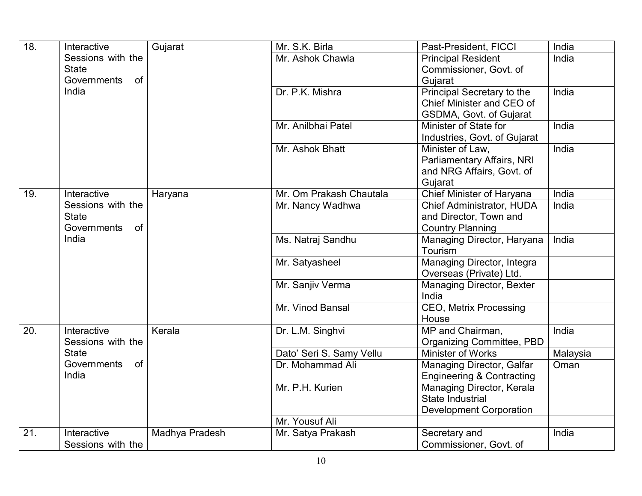| $\overline{18}$ . | Interactive                       | Gujarat        | Mr. S.K. Birla           | Past-President, FICCI                         | India    |
|-------------------|-----------------------------------|----------------|--------------------------|-----------------------------------------------|----------|
|                   | Sessions with the                 |                | Mr. Ashok Chawla         | <b>Principal Resident</b>                     | India    |
|                   | <b>State</b>                      |                |                          | Commissioner, Govt. of                        |          |
|                   | Governments<br><b>of</b>          |                |                          | Gujarat                                       |          |
|                   | India                             |                | Dr. P.K. Mishra          | Principal Secretary to the                    | India    |
|                   |                                   |                |                          | Chief Minister and CEO of                     |          |
|                   |                                   |                |                          | GSDMA, Govt. of Gujarat                       |          |
|                   |                                   |                | Mr. Anilbhai Patel       | Minister of State for                         | India    |
|                   |                                   |                |                          | Industries, Govt. of Gujarat                  |          |
|                   |                                   |                | Mr. Ashok Bhatt          | Minister of Law,                              | India    |
|                   |                                   |                |                          | Parliamentary Affairs, NRI                    |          |
|                   |                                   |                |                          | and NRG Affairs, Govt. of                     |          |
|                   |                                   |                |                          | Gujarat                                       |          |
| 19.               | Interactive                       | Haryana        | Mr. Om Prakash Chautala  | Chief Minister of Haryana                     | India    |
|                   | Sessions with the                 |                | Mr. Nancy Wadhwa         | <b>Chief Administrator, HUDA</b>              | India    |
|                   | <b>State</b>                      |                |                          | and Director, Town and                        |          |
|                   | Governments<br>of                 |                |                          | <b>Country Planning</b>                       |          |
|                   | India                             |                | Ms. Natraj Sandhu        | Managing Director, Haryana                    | India    |
|                   |                                   |                |                          | Tourism                                       |          |
|                   |                                   |                | Mr. Satyasheel           | Managing Director, Integra                    |          |
|                   |                                   |                |                          | Overseas (Private) Ltd.                       |          |
|                   |                                   |                | Mr. Sanjiv Verma         | Managing Director, Bexter                     |          |
|                   |                                   |                |                          | India                                         |          |
|                   |                                   |                | Mr. Vinod Bansal         | <b>CEO, Metrix Processing</b>                 |          |
|                   |                                   |                |                          | House                                         |          |
| 20.               | Interactive                       | Kerala         | Dr. L.M. Singhvi         | MP and Chairman,                              | India    |
|                   | Sessions with the<br><b>State</b> |                |                          | Organizing Committee, PBD                     |          |
|                   | Governments<br><b>of</b>          |                | Dato' Seri S. Samy Vellu | Minister of Works                             | Malaysia |
|                   | India                             |                | Dr. Mohammad Ali         | Managing Director, Galfar                     | Oman     |
|                   |                                   |                |                          | <b>Engineering &amp; Contracting</b>          |          |
|                   |                                   |                | Mr. P.H. Kurien          | Managing Director, Kerala<br>State Industrial |          |
|                   |                                   |                |                          |                                               |          |
|                   |                                   |                | Mr. Yousuf Ali           | <b>Development Corporation</b>                |          |
| 21.               | Interactive                       | Madhya Pradesh | Mr. Satya Prakash        |                                               | India    |
|                   |                                   |                |                          | Secretary and                                 |          |
|                   | Sessions with the                 |                |                          | Commissioner, Govt. of                        |          |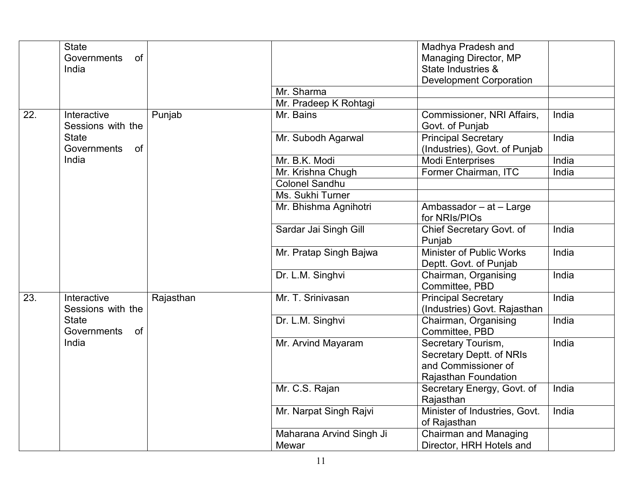|     | <b>State</b><br>of<br>Governments<br>India |           |                                   | Madhya Pradesh and<br>Managing Director, MP<br>State Industries &                             |       |
|-----|--------------------------------------------|-----------|-----------------------------------|-----------------------------------------------------------------------------------------------|-------|
|     |                                            |           |                                   | <b>Development Corporation</b>                                                                |       |
|     |                                            |           | Mr. Sharma                        |                                                                                               |       |
|     |                                            |           | Mr. Pradeep K Rohtagi             |                                                                                               |       |
| 22. | Interactive<br>Sessions with the           | Punjab    | Mr. Bains                         | Commissioner, NRI Affairs,<br>Govt. of Punjab                                                 | India |
|     | <b>State</b><br>Governments<br>of          |           | Mr. Subodh Agarwal                | <b>Principal Secretary</b><br>(Industries), Govt. of Punjab                                   | India |
|     | India                                      |           | Mr. B.K. Modi                     | <b>Modi Enterprises</b>                                                                       | India |
|     |                                            |           | Mr. Krishna Chugh                 | Former Chairman, ITC                                                                          | India |
|     |                                            |           | <b>Colonel Sandhu</b>             |                                                                                               |       |
|     |                                            |           | Ms. Sukhi Turner                  |                                                                                               |       |
|     |                                            |           | Mr. Bhishma Agnihotri             | Ambassador - at - Large<br>for NRIs/PIOs                                                      |       |
|     |                                            |           | Sardar Jai Singh Gill             | Chief Secretary Govt. of<br>Punjab                                                            | India |
|     |                                            |           | Mr. Pratap Singh Bajwa            | Minister of Public Works<br>Deptt. Govt. of Punjab                                            | India |
|     |                                            |           | Dr. L.M. Singhvi                  | Chairman, Organising<br>Committee, PBD                                                        | India |
| 23. | Interactive<br>Sessions with the           | Rajasthan | Mr. T. Srinivasan                 | <b>Principal Secretary</b><br>(Industries) Govt. Rajasthan                                    | India |
|     | <b>State</b><br>Governments<br>of          |           | Dr. L.M. Singhvi                  | Chairman, Organising<br>Committee, PBD                                                        | India |
|     | India                                      |           | Mr. Arvind Mayaram                | Secretary Tourism,<br>Secretary Deptt. of NRIs<br>and Commissioner of<br>Rajasthan Foundation | India |
|     |                                            |           | Mr. C.S. Rajan                    | Secretary Energy, Govt. of<br>Rajasthan                                                       | India |
|     |                                            |           | Mr. Narpat Singh Rajvi            | Minister of Industries, Govt.<br>of Rajasthan                                                 | India |
|     |                                            |           | Maharana Arvind Singh Ji<br>Mewar | <b>Chairman and Managing</b><br>Director, HRH Hotels and                                      |       |